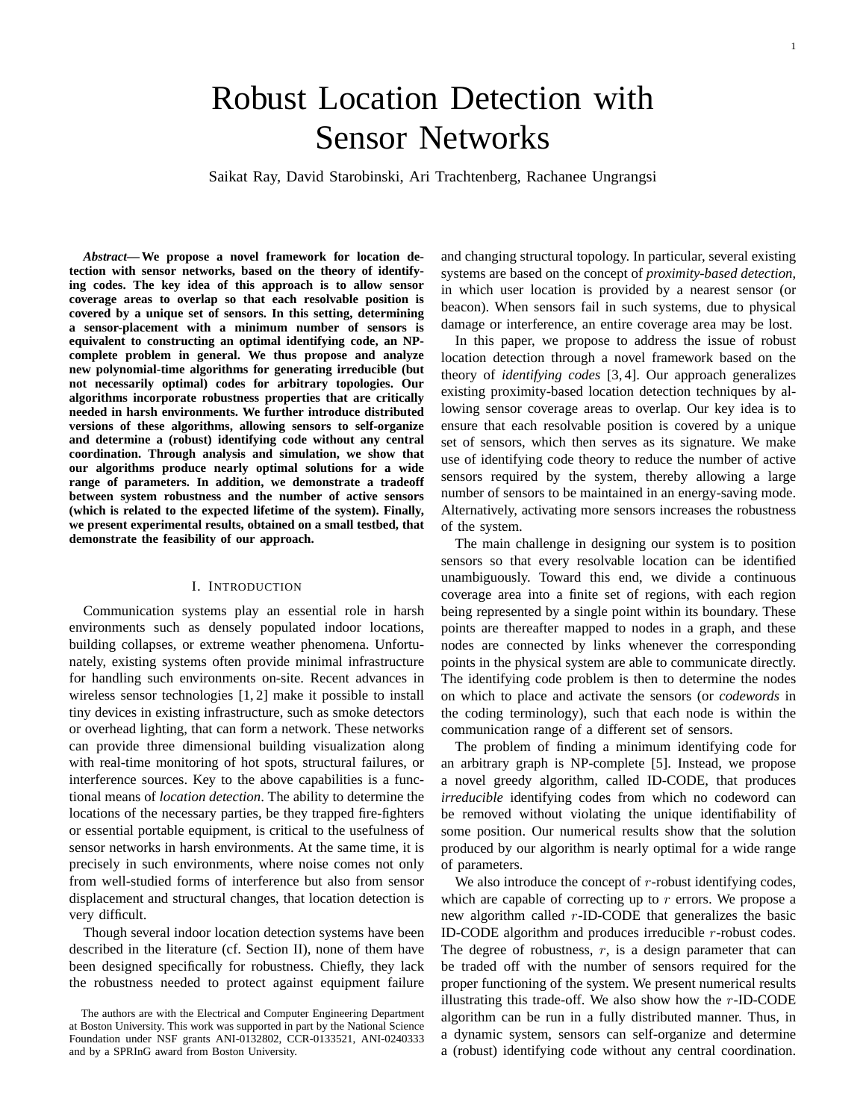# Robust Location Detection with Sensor Networks

Saikat Ray, David Starobinski, Ari Trachtenberg, Rachanee Ungrangsi

*Abstract***— We propose a novel framework for location detection with sensor networks, based on the theory of identifying codes. The key idea of this approach is to allow sensor coverage areas to overlap so that each resolvable position is covered by a unique set of sensors. In this setting, determining a sensor-placement with a minimum number of sensors is equivalent to constructing an optimal identifying code, an NPcomplete problem in general. We thus propose and analyze new polynomial-time algorithms for generating irreducible (but not necessarily optimal) codes for arbitrary topologies. Our algorithms incorporate robustness properties that are critically needed in harsh environments. We further introduce distributed versions of these algorithms, allowing sensors to self-organize and determine a (robust) identifying code without any central coordination. Through analysis and simulation, we show that our algorithms produce nearly optimal solutions for a wide range of parameters. In addition, we demonstrate a tradeoff between system robustness and the number of active sensors (which is related to the expected lifetime of the system). Finally, we present experimental results, obtained on a small testbed, that demonstrate the feasibility of our approach.**

#### I. INTRODUCTION

Communication systems play an essential role in harsh environments such as densely populated indoor locations, building collapses, or extreme weather phenomena. Unfortunately, existing systems often provide minimal infrastructure for handling such environments on-site. Recent advances in wireless sensor technologies [1, 2] make it possible to install tiny devices in existing infrastructure, such as smoke detectors or overhead lighting, that can form a network. These networks can provide three dimensional building visualization along with real-time monitoring of hot spots, structural failures, or interference sources. Key to the above capabilities is a functional means of *location detection*. The ability to determine the locations of the necessary parties, be they trapped fire-fighters or essential portable equipment, is critical to the usefulness of sensor networks in harsh environments. At the same time, it is precisely in such environments, where noise comes not only from well-studied forms of interference but also from sensor displacement and structural changes, that location detection is very difficult.

Though several indoor location detection systems have been described in the literature (cf. Section II), none of them have been designed specifically for robustness. Chiefly, they lack the robustness needed to protect against equipment failure and changing structural topology. In particular, several existing systems are based on the concept of *proximity-based detection*, in which user location is provided by a nearest sensor (or beacon). When sensors fail in such systems, due to physical damage or interference, an entire coverage area may be lost.

In this paper, we propose to address the issue of robust location detection through a novel framework based on the theory of *identifying codes* [3, 4]. Our approach generalizes existing proximity-based location detection techniques by allowing sensor coverage areas to overlap. Our key idea is to ensure that each resolvable position is covered by a unique set of sensors, which then serves as its signature. We make use of identifying code theory to reduce the number of active sensors required by the system, thereby allowing a large number of sensors to be maintained in an energy-saving mode. Alternatively, activating more sensors increases the robustness of the system.

The main challenge in designing our system is to position sensors so that every resolvable location can be identified unambiguously. Toward this end, we divide a continuous coverage area into a finite set of regions, with each region being represented by a single point within its boundary. These points are thereafter mapped to nodes in a graph, and these nodes are connected by links whenever the corresponding points in the physical system are able to communicate directly. The identifying code problem is then to determine the nodes on which to place and activate the sensors (or *codewords* in the coding terminology), such that each node is within the communication range of a different set of sensors.

The problem of finding a minimum identifying code for an arbitrary graph is NP-complete [5]. Instead, we propose a novel greedy algorithm, called ID-CODE, that produces *irreducible* identifying codes from which no codeword can be removed without violating the unique identifiability of some position. Our numerical results show that the solution produced by our algorithm is nearly optimal for a wide range of parameters.

We also introduce the concept of  $r$ -robust identifying codes, which are capable of correcting up to  $r$  errors. We propose a new algorithm called r-ID-CODE that generalizes the basic ID-CODE algorithm and produces irreducible r-robust codes. The degree of robustness,  $r$ , is a design parameter that can be traded off with the number of sensors required for the proper functioning of the system. We present numerical results illustrating this trade-off. We also show how the  $r$ -ID-CODE algorithm can be run in a fully distributed manner. Thus, in a dynamic system, sensors can self-organize and determine a (robust) identifying code without any central coordination.

The authors are with the Electrical and Computer Engineering Department at Boston University. This work was supported in part by the National Science Foundation under NSF grants ANI-0132802, CCR-0133521, ANI-0240333 and by a SPRInG award from Boston University.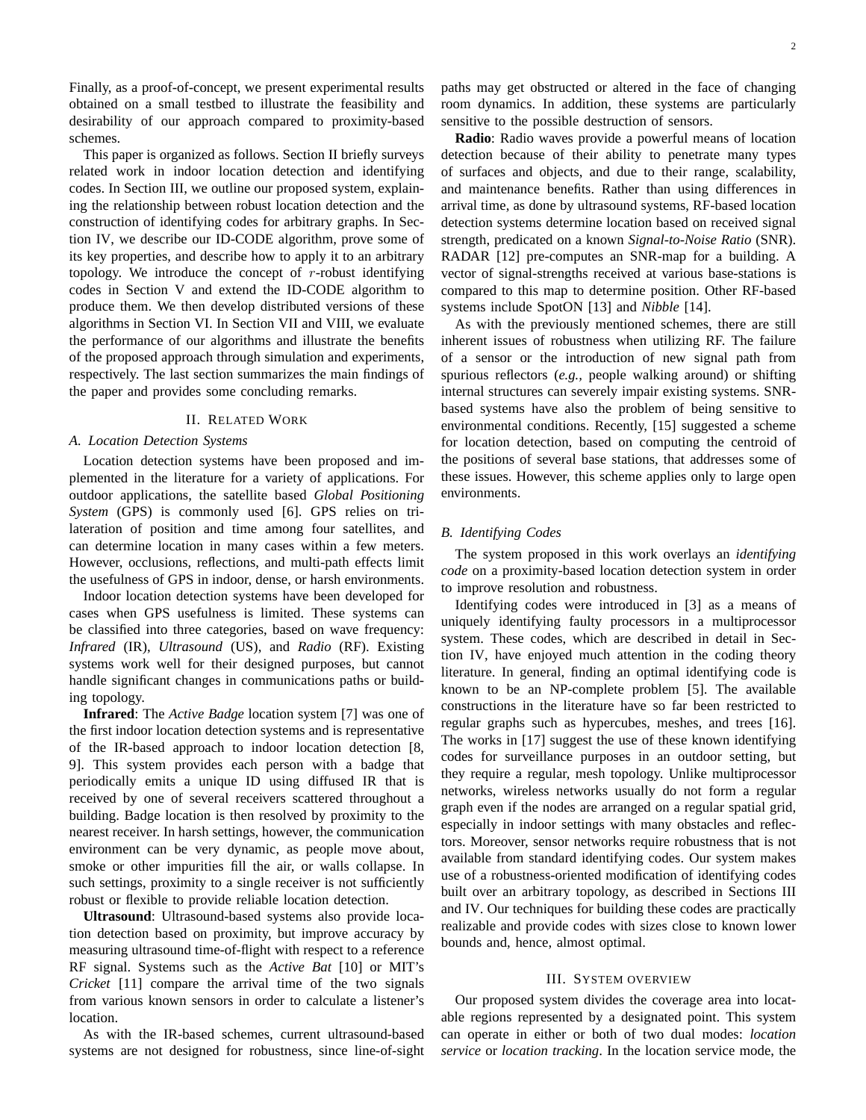Finally, as a proof-of-concept, we present experimental results obtained on a small testbed to illustrate the feasibility and desirability of our approach compared to proximity-based schemes.

This paper is organized as follows. Section II briefly surveys related work in indoor location detection and identifying codes. In Section III, we outline our proposed system, explaining the relationship between robust location detection and the construction of identifying codes for arbitrary graphs. In Section IV, we describe our ID-CODE algorithm, prove some of its key properties, and describe how to apply it to an arbitrary topology. We introduce the concept of  $r$ -robust identifying codes in Section V and extend the ID-CODE algorithm to produce them. We then develop distributed versions of these algorithms in Section VI. In Section VII and VIII, we evaluate the performance of our algorithms and illustrate the benefits of the proposed approach through simulation and experiments, respectively. The last section summarizes the main findings of the paper and provides some concluding remarks.

#### II. RELATED WORK

## *A. Location Detection Systems*

Location detection systems have been proposed and implemented in the literature for a variety of applications. For outdoor applications, the satellite based *Global Positioning System* (GPS) is commonly used [6]. GPS relies on trilateration of position and time among four satellites, and can determine location in many cases within a few meters. However, occlusions, reflections, and multi-path effects limit the usefulness of GPS in indoor, dense, or harsh environments.

Indoor location detection systems have been developed for cases when GPS usefulness is limited. These systems can be classified into three categories, based on wave frequency: *Infrared* (IR), *Ultrasound* (US), and *Radio* (RF). Existing systems work well for their designed purposes, but cannot handle significant changes in communications paths or building topology.

**Infrared**: The *Active Badge* location system [7] was one of the first indoor location detection systems and is representative of the IR-based approach to indoor location detection [8, 9]. This system provides each person with a badge that periodically emits a unique ID using diffused IR that is received by one of several receivers scattered throughout a building. Badge location is then resolved by proximity to the nearest receiver. In harsh settings, however, the communication environment can be very dynamic, as people move about, smoke or other impurities fill the air, or walls collapse. In such settings, proximity to a single receiver is not sufficiently robust or flexible to provide reliable location detection.

**Ultrasound**: Ultrasound-based systems also provide location detection based on proximity, but improve accuracy by measuring ultrasound time-of-flight with respect to a reference RF signal. Systems such as the *Active Bat* [10] or MIT's *Cricket* [11] compare the arrival time of the two signals from various known sensors in order to calculate a listener's location.

As with the IR-based schemes, current ultrasound-based systems are not designed for robustness, since line-of-sight paths may get obstructed or altered in the face of changing room dynamics. In addition, these systems are particularly sensitive to the possible destruction of sensors.

**Radio**: Radio waves provide a powerful means of location detection because of their ability to penetrate many types of surfaces and objects, and due to their range, scalability, and maintenance benefits. Rather than using differences in arrival time, as done by ultrasound systems, RF-based location detection systems determine location based on received signal strength, predicated on a known *Signal-to-Noise Ratio* (SNR). RADAR [12] pre-computes an SNR-map for a building. A vector of signal-strengths received at various base-stations is compared to this map to determine position. Other RF-based systems include SpotON [13] and *Nibble* [14].

As with the previously mentioned schemes, there are still inherent issues of robustness when utilizing RF. The failure of a sensor or the introduction of new signal path from spurious reflectors (*e.g.,* people walking around) or shifting internal structures can severely impair existing systems. SNRbased systems have also the problem of being sensitive to environmental conditions. Recently, [15] suggested a scheme for location detection, based on computing the centroid of the positions of several base stations, that addresses some of these issues. However, this scheme applies only to large open environments.

#### *B. Identifying Codes*

The system proposed in this work overlays an *identifying code* on a proximity-based location detection system in order to improve resolution and robustness.

Identifying codes were introduced in [3] as a means of uniquely identifying faulty processors in a multiprocessor system. These codes, which are described in detail in Section IV, have enjoyed much attention in the coding theory literature. In general, finding an optimal identifying code is known to be an NP-complete problem [5]. The available constructions in the literature have so far been restricted to regular graphs such as hypercubes, meshes, and trees [16]. The works in [17] suggest the use of these known identifying codes for surveillance purposes in an outdoor setting, but they require a regular, mesh topology. Unlike multiprocessor networks, wireless networks usually do not form a regular graph even if the nodes are arranged on a regular spatial grid, especially in indoor settings with many obstacles and reflectors. Moreover, sensor networks require robustness that is not available from standard identifying codes. Our system makes use of a robustness-oriented modification of identifying codes built over an arbitrary topology, as described in Sections III and IV. Our techniques for building these codes are practically realizable and provide codes with sizes close to known lower bounds and, hence, almost optimal.

#### III. SYSTEM OVERVIEW

Our proposed system divides the coverage area into locatable regions represented by a designated point. This system can operate in either or both of two dual modes: *location service* or *location tracking*. In the location service mode, the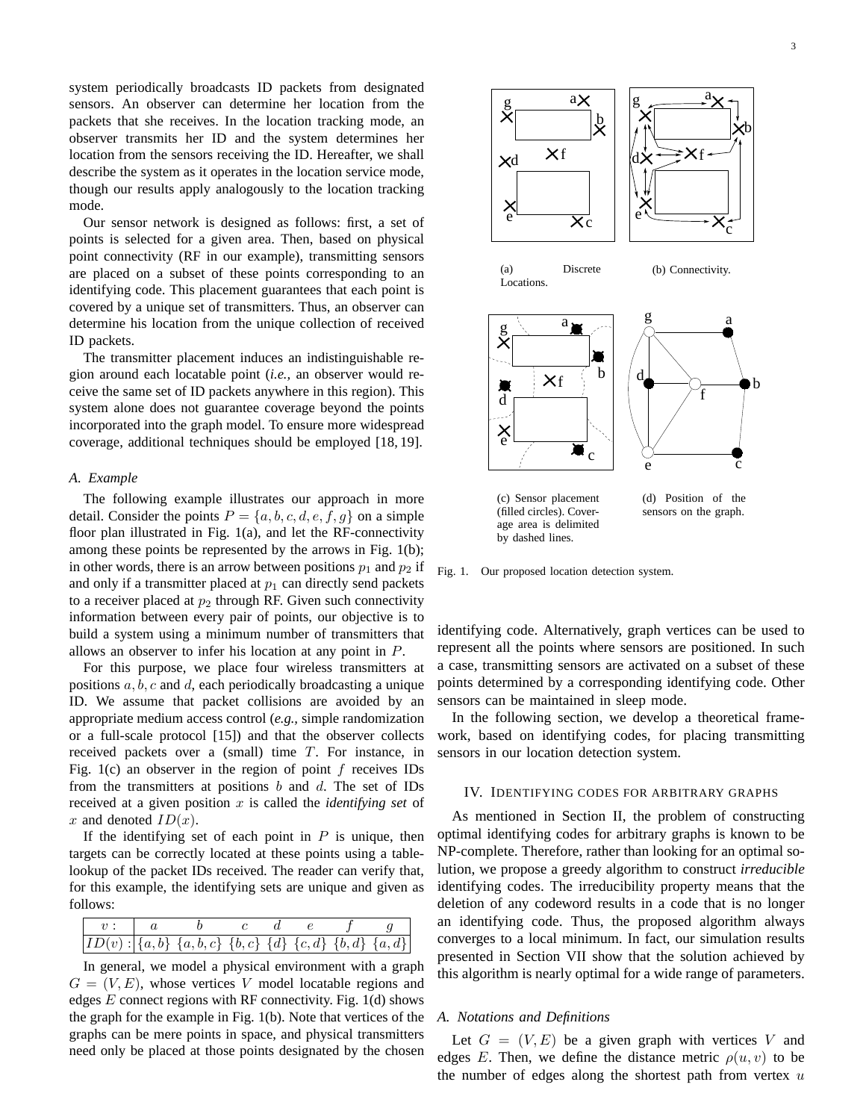system periodically broadcasts ID packets from designated sensors. An observer can determine her location from the packets that she receives. In the location tracking mode, an observer transmits her ID and the system determines her location from the sensors receiving the ID. Hereafter, we shall describe the system as it operates in the location service mode, though our results apply analogously to the location tracking mode.

Our sensor network is designed as follows: first, a set of points is selected for a given area. Then, based on physical point connectivity (RF in our example), transmitting sensors are placed on a subset of these points corresponding to an identifying code. This placement guarantees that each point is covered by a unique set of transmitters. Thus, an observer can determine his location from the unique collection of received ID packets.

The transmitter placement induces an indistinguishable region around each locatable point (*i.e.,* an observer would receive the same set of ID packets anywhere in this region). This system alone does not guarantee coverage beyond the points incorporated into the graph model. To ensure more widespread coverage, additional techniques should be employed [18, 19].

#### *A. Example*

The following example illustrates our approach in more detail. Consider the points  $P = \{a, b, c, d, e, f, g\}$  on a simple floor plan illustrated in Fig. 1(a), and let the RF-connectivity among these points be represented by the arrows in Fig. 1(b); in other words, there is an arrow between positions  $p_1$  and  $p_2$  if and only if a transmitter placed at  $p_1$  can directly send packets to a receiver placed at  $p_2$  through RF. Given such connectivity information between every pair of points, our objective is to build a system using a minimum number of transmitters that allows an observer to infer his location at any point in P.

For this purpose, we place four wireless transmitters at positions  $a, b, c$  and  $d$ , each periodically broadcasting a unique ID. We assume that packet collisions are avoided by an appropriate medium access control (*e.g.,* simple randomization or a full-scale protocol [15]) and that the observer collects received packets over a (small) time T. For instance, in Fig. 1(c) an observer in the region of point  $f$  receives IDs from the transmitters at positions  $b$  and  $d$ . The set of IDs received at a given position x is called the *identifying set* of x and denoted  $ID(x)$ .

If the identifying set of each point in  $P$  is unique, then targets can be correctly located at these points using a tablelookup of the packet IDs received. The reader can verify that, for this example, the identifying sets are unique and given as follows:

|  | $\overline{ID(v):  \{a,b\} \{a,b,c\} \{b,c\} \{d\} \{c,d\} \{b,d\} \{a,d\} }$ |  |  |  |
|--|-------------------------------------------------------------------------------|--|--|--|

In general, we model a physical environment with a graph  $G = (V, E)$ , whose vertices V model locatable regions and edges  $E$  connect regions with RF connectivity. Fig. 1(d) shows the graph for the example in Fig. 1(b). Note that vertices of the graphs can be mere points in space, and physical transmitters need only be placed at those points designated by the chosen



Fig. 1. Our proposed location detection system.

identifying code. Alternatively, graph vertices can be used to represent all the points where sensors are positioned. In such a case, transmitting sensors are activated on a subset of these points determined by a corresponding identifying code. Other sensors can be maintained in sleep mode.

In the following section, we develop a theoretical framework, based on identifying codes, for placing transmitting sensors in our location detection system.

## IV. IDENTIFYING CODES FOR ARBITRARY GRAPHS

As mentioned in Section II, the problem of constructing optimal identifying codes for arbitrary graphs is known to be NP-complete. Therefore, rather than looking for an optimal solution, we propose a greedy algorithm to construct *irreducible* identifying codes. The irreducibility property means that the deletion of any codeword results in a code that is no longer an identifying code. Thus, the proposed algorithm always converges to a local minimum. In fact, our simulation results presented in Section VII show that the solution achieved by this algorithm is nearly optimal for a wide range of parameters.

# *A. Notations and Definitions*

Let  $G = (V, E)$  be a given graph with vertices V and edges E. Then, we define the distance metric  $\rho(u, v)$  to be the number of edges along the shortest path from vertex  $u$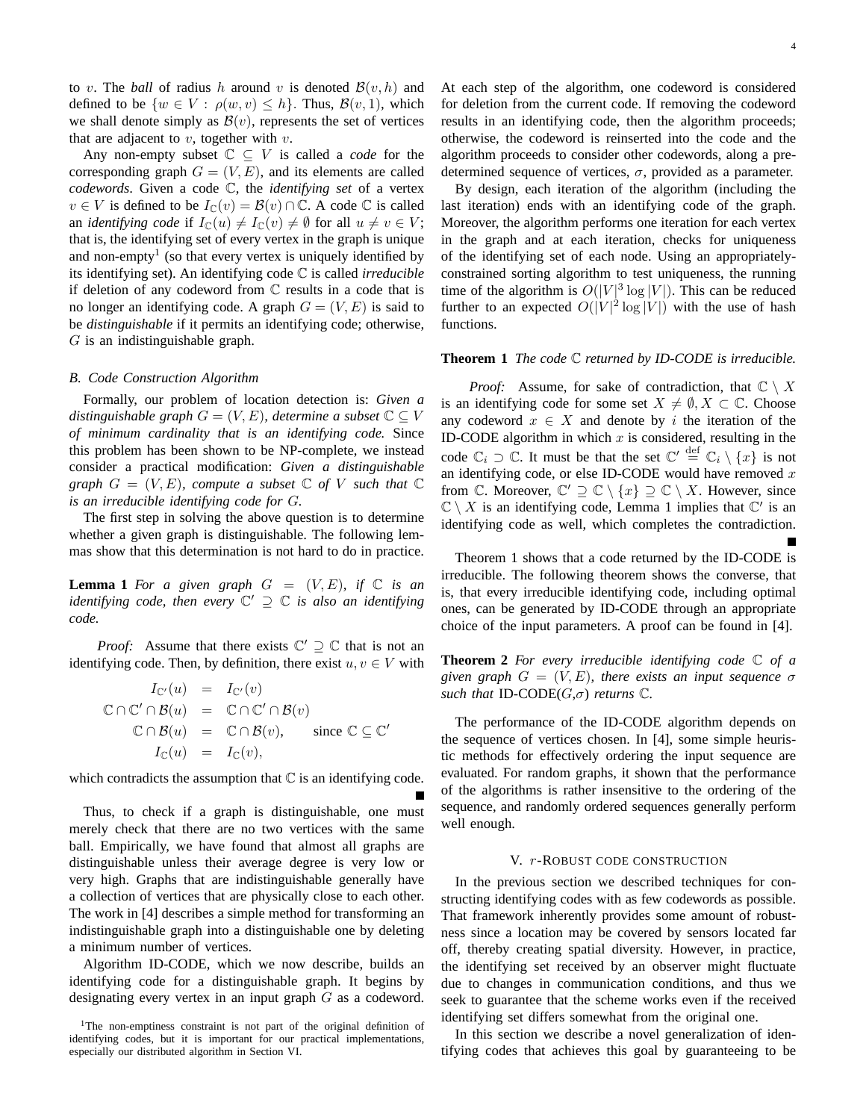to v. The *ball* of radius h around v is denoted  $\mathcal{B}(v, h)$  and defined to be  $\{w \in V : \rho(w, v) \leq h\}$ . Thus,  $\mathcal{B}(v, 1)$ , which we shall denote simply as  $\mathcal{B}(v)$ , represents the set of vertices that are adjacent to  $v$ , together with  $v$ .

Any non-empty subset  $C \subseteq V$  is called a *code* for the corresponding graph  $G = (V, E)$ , and its elements are called *codewords*. Given a code C, the *identifying set* of a vertex  $v \in V$  is defined to be  $I_{\mathbb{C}}(v) = \mathcal{B}(v) \cap \mathbb{C}$ . A code  $\mathbb{C}$  is called an *identifying code* if  $I_{\mathbb{C}}(u) \neq I_{\mathbb{C}}(v) \neq \emptyset$  for all  $u \neq v \in V$ ; that is, the identifying set of every vertex in the graph is unique and non-empty<sup>1</sup> (so that every vertex is uniquely identified by its identifying set). An identifying code C is called *irreducible* if deletion of any codeword from C results in a code that is no longer an identifying code. A graph  $G = (V, E)$  is said to be *distinguishable* if it permits an identifying code; otherwise,  $G$  is an indistinguishable graph.

#### *B. Code Construction Algorithm*

Formally, our problem of location detection is: *Given a distinguishable graph*  $G = (V, E)$ *, determine a subset*  $\mathbb{C} \subseteq V$ *of minimum cardinality that is an identifying code.* Since this problem has been shown to be NP-complete, we instead consider a practical modification: *Given a distinguishable graph*  $G = (V, E)$ *, compute* a *subset*  $\mathbb C$  *of*  $V$  *such that*  $\mathbb C$ *is an irreducible identifying code for* G*.*

The first step in solving the above question is to determine whether a given graph is distinguishable. The following lemmas show that this determination is not hard to do in practice.

**Lemma 1** For a given graph  $G = (V, E)$ , if  $\mathbb C$  is an *identifying code, then every* C <sup>0</sup> ⊇ C *is also an identifying code.*

*Proof:* Assume that there exists  $\mathbb{C}' \supseteq \mathbb{C}$  that is not an identifying code. Then, by definition, there exist  $u, v \in V$  with

$$
I_{\mathbb{C}'}(u) = I_{\mathbb{C}'}(v)
$$
  
\n
$$
\mathbb{C} \cap \mathbb{C}' \cap \mathcal{B}(u) = \mathbb{C} \cap \mathbb{C}' \cap \mathcal{B}(v)
$$
  
\n
$$
\mathbb{C} \cap \mathcal{B}(u) = \mathbb{C} \cap \mathcal{B}(v), \text{ since } \mathbb{C} \subseteq \mathbb{C}'
$$
  
\n
$$
I_{\mathbb{C}}(u) = I_{\mathbb{C}}(v),
$$

which contradicts the assumption that  $\mathbb C$  is an identifying code.

Thus, to check if a graph is distinguishable, one must merely check that there are no two vertices with the same ball. Empirically, we have found that almost all graphs are distinguishable unless their average degree is very low or very high. Graphs that are indistinguishable generally have a collection of vertices that are physically close to each other. The work in [4] describes a simple method for transforming an indistinguishable graph into a distinguishable one by deleting a minimum number of vertices.

Algorithm ID-CODE, which we now describe, builds an identifying code for a distinguishable graph. It begins by designating every vertex in an input graph G as a codeword. At each step of the algorithm, one codeword is considered for deletion from the current code. If removing the codeword results in an identifying code, then the algorithm proceeds; otherwise, the codeword is reinserted into the code and the algorithm proceeds to consider other codewords, along a predetermined sequence of vertices,  $\sigma$ , provided as a parameter.

By design, each iteration of the algorithm (including the last iteration) ends with an identifying code of the graph. Moreover, the algorithm performs one iteration for each vertex in the graph and at each iteration, checks for uniqueness of the identifying set of each node. Using an appropriatelyconstrained sorting algorithm to test uniqueness, the running time of the algorithm is  $O(|V|^3 \log |V|)$ . This can be reduced further to an expected  $O(|V|^2 \log |V|)$  with the use of hash functions.

## **Theorem 1** *The code* C *returned by ID-CODE is irreducible.*

*Proof:* Assume, for sake of contradiction, that  $\mathbb{C} \setminus X$ is an identifying code for some set  $X \neq \emptyset, X \subset \mathbb{C}$ . Choose any codeword  $x \in X$  and denote by i the iteration of the ID-CODE algorithm in which  $x$  is considered, resulting in the code  $\mathbb{C}_i \supset \mathbb{C}$ . It must be that the set  $\mathbb{C}' \stackrel{\text{def}}{=} \mathbb{C}_i \setminus \{x\}$  is not an identifying code, or else ID-CODE would have removed  $x$ from  $\mathbb C$ . Moreover,  $\mathbb C' \supseteq \mathbb C \setminus \{x\} \supseteq \mathbb C \setminus X$ . However, since  $\mathbb{C} \setminus X$  is an identifying code, Lemma 1 implies that  $\mathbb{C}'$  is an identifying code as well, which completes the contradiction.

Theorem 1 shows that a code returned by the ID-CODE is irreducible. The following theorem shows the converse, that is, that every irreducible identifying code, including optimal ones, can be generated by ID-CODE through an appropriate choice of the input parameters. A proof can be found in [4].

**Theorem 2** *For every irreducible identifying code* C *of a given graph*  $G = (V, E)$ *, there exists an input sequence*  $\sigma$ *such that* **ID-CODE** $(G, \sigma)$  *returns*  $\mathbb{C}$ *.* 

The performance of the ID-CODE algorithm depends on the sequence of vertices chosen. In [4], some simple heuristic methods for effectively ordering the input sequence are evaluated. For random graphs, it shown that the performance of the algorithms is rather insensitive to the ordering of the sequence, and randomly ordered sequences generally perform well enough.

#### V. r-ROBUST CODE CONSTRUCTION

In the previous section we described techniques for constructing identifying codes with as few codewords as possible. That framework inherently provides some amount of robustness since a location may be covered by sensors located far off, thereby creating spatial diversity. However, in practice, the identifying set received by an observer might fluctuate due to changes in communication conditions, and thus we seek to guarantee that the scheme works even if the received identifying set differs somewhat from the original one.

In this section we describe a novel generalization of identifying codes that achieves this goal by guaranteeing to be

<sup>&</sup>lt;sup>1</sup>The non-emptiness constraint is not part of the original definition of identifying codes, but it is important for our practical implementations, especially our distributed algorithm in Section VI.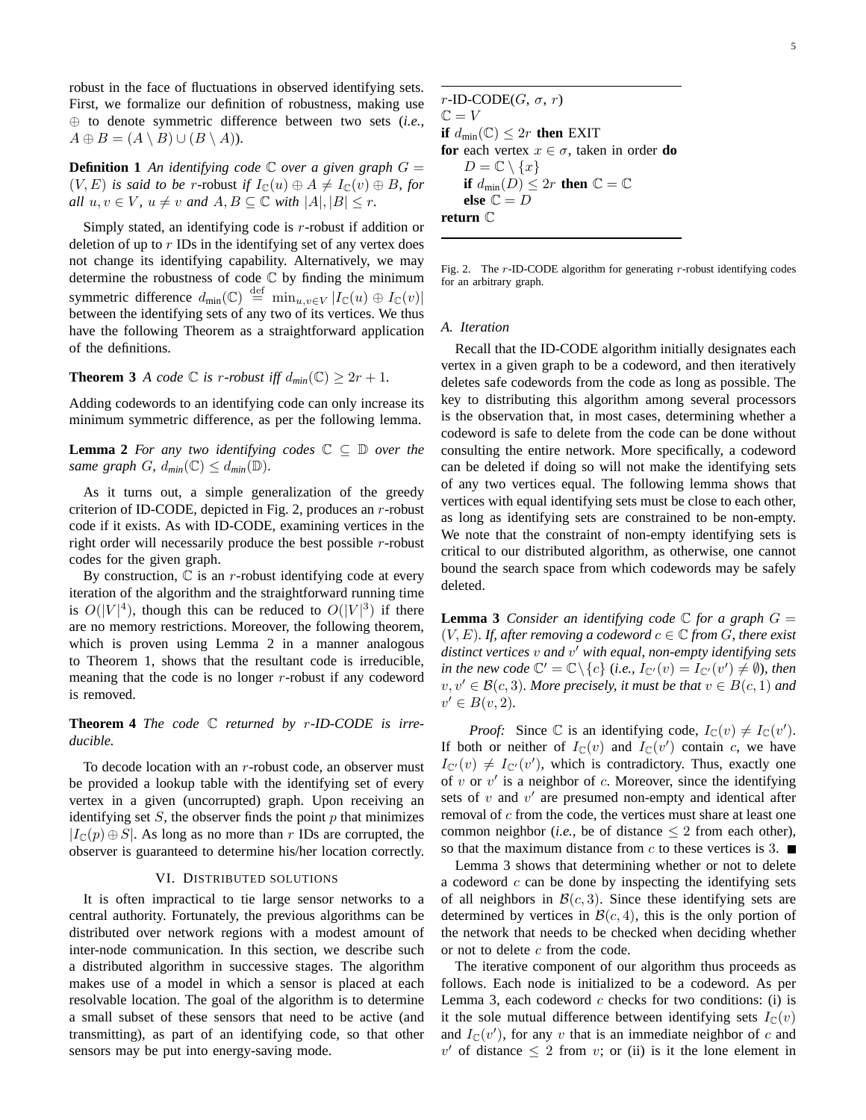robust in the face of fluctuations in observed identifying sets. First, we formalize our definition of robustness, making use ⊕ to denote symmetric difference between two sets (*i.e.,*  $A \oplus B = (A \setminus B) \cup (B \setminus A).$ 

**Definition 1** An identifying code  $\mathbb C$  over a given graph  $G =$  $(V, E)$  *is said to be r*-robust *if*  $I_{\mathbb{C}}(u) \oplus A \neq I_{\mathbb{C}}(v) \oplus B$ *, for all*  $u, v \in V$ ,  $u \neq v$  *and*  $A, B \subseteq \mathbb{C}$  *with*  $|A|, |B| \leq r$ .

Simply stated, an identifying code is  $r$ -robust if addition or deletion of up to  $r$  IDs in the identifying set of any vertex does not change its identifying capability. Alternatively, we may determine the robustness of code  $C$  by finding the minimum symmetric difference  $d_{\min}(\mathbb{C}) \stackrel{\text{def}}{=} \min_{u,v \in V} |I_{\mathbb{C}}(u) \oplus I_{\mathbb{C}}(v)|$ between the identifying sets of any two of its vertices. We thus have the following Theorem as a straightforward application of the definitions.

## **Theorem 3** *A code*  $\mathbb C$  *is r-robust iff*  $d_{min}(\mathbb C) \geq 2r + 1$ *.*

Adding codewords to an identifying code can only increase its minimum symmetric difference, as per the following lemma.

**Lemma 2** *For any two identifying codes*  $\mathbb{C} \subseteq \mathbb{D}$  *over the same graph G*,  $d_{min}(\mathbb{C}) \leq d_{min}(\mathbb{D})$ .

As it turns out, a simple generalization of the greedy criterion of ID-CODE, depicted in Fig. 2, produces an  $r$ -robust code if it exists. As with ID-CODE, examining vertices in the right order will necessarily produce the best possible  $r$ -robust codes for the given graph.

By construction,  $\mathbb C$  is an *r*-robust identifying code at every iteration of the algorithm and the straightforward running time is  $O(|V|^4)$ , though this can be reduced to  $O(|V|^3)$  if there are no memory restrictions. Moreover, the following theorem, which is proven using Lemma 2 in a manner analogous to Theorem 1, shows that the resultant code is irreducible, meaning that the code is no longer  $r$ -robust if any codeword is removed.

**Theorem 4** *The code* C *returned by* r*-ID-CODE is irreducible.*

To decode location with an r-robust code, an observer must be provided a lookup table with the identifying set of every vertex in a given (uncorrupted) graph. Upon receiving an identifying set  $S$ , the observer finds the point  $p$  that minimizes  $|I_{\mathbb{C}}(p) \oplus S|$ . As long as no more than r IDs are corrupted, the observer is guaranteed to determine his/her location correctly.

#### VI. DISTRIBUTED SOLUTIONS

It is often impractical to tie large sensor networks to a central authority. Fortunately, the previous algorithms can be distributed over network regions with a modest amount of inter-node communication. In this section, we describe such a distributed algorithm in successive stages. The algorithm makes use of a model in which a sensor is placed at each resolvable location. The goal of the algorithm is to determine a small subset of these sensors that need to be active (and transmitting), as part of an identifying code, so that other sensors may be put into energy-saving mode.

 $r$ -ID-CODE(G,  $\sigma$ , r)  $\mathbb{C} = V$ **if**  $d_{\text{min}}(\mathbb{C}) \leq 2r$  **then** EXIT **for** each vertex  $x \in \sigma$ , taken in order **do**  $D = \mathbb{C} \setminus \{x\}$ **if**  $d_{\min}(D) \leq 2r$  **then**  $\mathbb{C} = \mathbb{C}$ **else**  $\mathbb{C} = D$ **return** C

Fig. 2. The  $r$ -ID-CODE algorithm for generating  $r$ -robust identifying codes for an arbitrary graph.

#### *A. Iteration*

Recall that the ID-CODE algorithm initially designates each vertex in a given graph to be a codeword, and then iteratively deletes safe codewords from the code as long as possible. The key to distributing this algorithm among several processors is the observation that, in most cases, determining whether a codeword is safe to delete from the code can be done without consulting the entire network. More specifically, a codeword can be deleted if doing so will not make the identifying sets of any two vertices equal. The following lemma shows that vertices with equal identifying sets must be close to each other, as long as identifying sets are constrained to be non-empty. We note that the constraint of non-empty identifying sets is critical to our distributed algorithm, as otherwise, one cannot bound the search space from which codewords may be safely deleted.

**Lemma 3** *Consider an identifying code*  $\mathbb C$  *for a graph*  $G =$  $(V, E)$ *. If, after removing a codeword*  $c \in \mathbb{C}$  *from G, there exist distinct vertices* v *and* v <sup>0</sup> *with equal, non-empty identifying sets in the new code*  $\mathbb{C}' = \mathbb{C} \setminus \{c\}$  (*i.e.,*  $I_{\mathbb{C}'}(v) = I_{\mathbb{C}'}(v') \neq \emptyset$ ), then  $v, v' \in \mathcal{B}(c, 3)$ *. More precisely, it must be that*  $v \in B(c, 1)$  *and*  $v' \in B(v, 2)$ .

*Proof:* Since  $\mathbb C$  is an identifying code,  $I_{\mathbb C}(v) \neq I_{\mathbb C}(v')$ . If both or neither of  $I_{\mathbb{C}}(v)$  and  $I_{\mathbb{C}}(v')$  contain c, we have  $I_{\mathbb{C}'}(v) \neq I_{\mathbb{C}'}(v')$ , which is contradictory. Thus, exactly one of  $v$  or  $v'$  is a neighbor of  $c$ . Moreover, since the identifying sets of  $v$  and  $v'$  are presumed non-empty and identical after removal of c from the code, the vertices must share at least one common neighbor (*i.e.*, be of distance  $\leq 2$  from each other), so that the maximum distance from c to these vertices is 3.  $\blacksquare$ 

Lemma 3 shows that determining whether or not to delete a codeword  $c$  can be done by inspecting the identifying sets of all neighbors in  $\mathcal{B}(c, 3)$ . Since these identifying sets are determined by vertices in  $\mathcal{B}(c, 4)$ , this is the only portion of the network that needs to be checked when deciding whether or not to delete  $c$  from the code.

The iterative component of our algorithm thus proceeds as follows. Each node is initialized to be a codeword. As per Lemma 3, each codeword  $c$  checks for two conditions: (i) is it the sole mutual difference between identifying sets  $I_{\mathbb{C}}(v)$ and  $I_{\mathbb{C}}(v')$ , for any v that is an immediate neighbor of c and  $v'$  of distance  $\leq 2$  from v; or (ii) is it the lone element in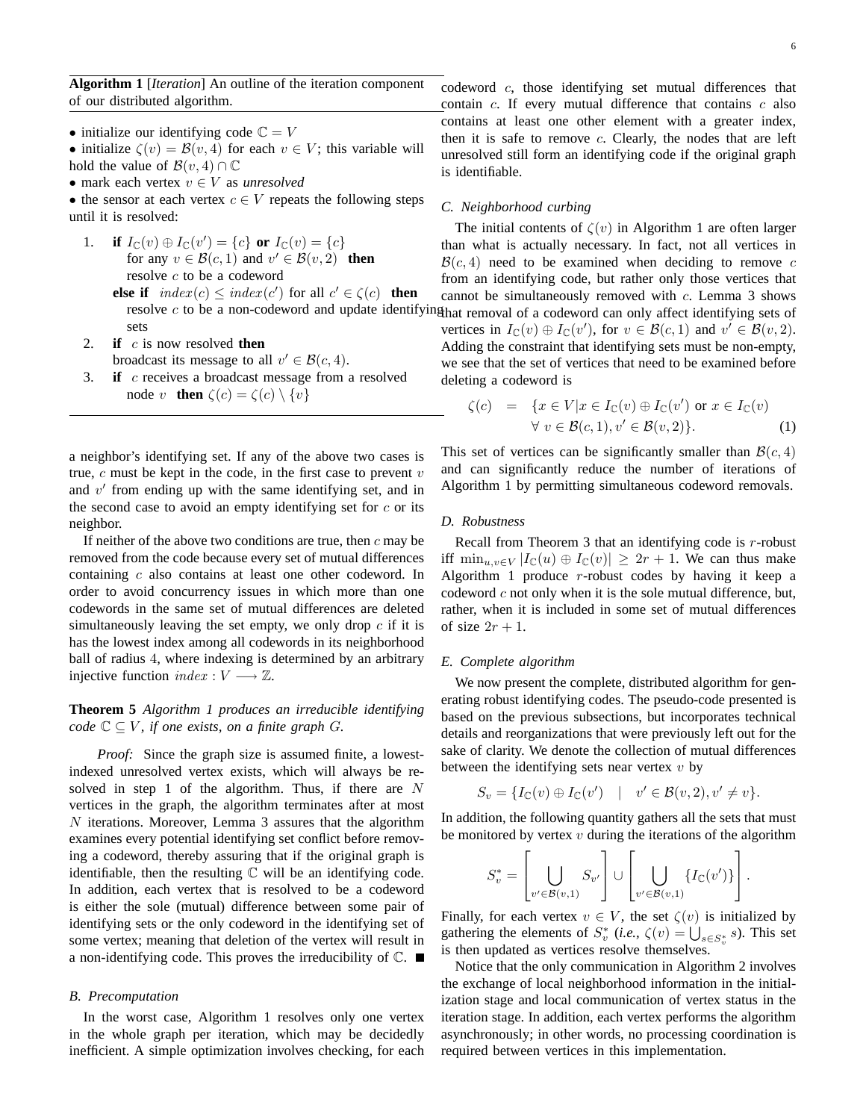**Algorithm 1** [*Iteration*] An outline of the iteration component of our distributed algorithm.

• initialize our identifying code  $\mathbb{C} = V$ 

• initialize  $\zeta(v) = \mathcal{B}(v, 4)$  for each  $v \in V$ ; this variable will hold the value of  $\mathcal{B}(v, 4) \cap \mathbb{C}$ 

• mark each vertex v ∈ V as *unresolved*

• the sensor at each vertex  $c \in V$  repeats the following steps until it is resolved:

- 1. **if**  $I_{\mathbb{C}}(v) \oplus I_{\mathbb{C}}(v') = \{c\}$  or  $I_{\mathbb{C}}(v) = \{c\}$ for any  $v \in \mathcal{B}(c, 1)$  and  $v' \in \mathcal{B}(v, 2)$  then resolve  $c$  to be a codeword
	- **else if**  $index(c) \leq index(c')$  for all  $c' \in \zeta(c)$  **then** sets
- 2. **if** c is now resolved **then** broadcast its message to all  $v' \in \mathcal{B}(c, 4)$ .
- 3. **if** c receives a broadcast message from a resolved node v **then**  $\zeta(c) = \zeta(c) \setminus \{v\}$

a neighbor's identifying set. If any of the above two cases is true,  $c$  must be kept in the code, in the first case to prevent  $v$ and  $v'$  from ending up with the same identifying set, and in the second case to avoid an empty identifying set for  $c$  or its neighbor.

If neither of the above two conditions are true, then  $c$  may be removed from the code because every set of mutual differences containing c also contains at least one other codeword. In order to avoid concurrency issues in which more than one codewords in the same set of mutual differences are deleted simultaneously leaving the set empty, we only drop  $c$  if it is has the lowest index among all codewords in its neighborhood ball of radius 4, where indexing is determined by an arbitrary injective function  $index : V \longrightarrow \mathbb{Z}$ .

# **Theorem 5** *Algorithm 1 produces an irreducible identifying code*  $\mathbb{C} \subseteq V$ , if one exists, on a finite graph G.

*Proof:* Since the graph size is assumed finite, a lowestindexed unresolved vertex exists, which will always be resolved in step 1 of the algorithm. Thus, if there are  $N$ vertices in the graph, the algorithm terminates after at most  $N$  iterations. Moreover, Lemma 3 assures that the algorithm examines every potential identifying set conflict before removing a codeword, thereby assuring that if the original graph is identifiable, then the resulting  $\mathbb C$  will be an identifying code. In addition, each vertex that is resolved to be a codeword is either the sole (mutual) difference between some pair of identifying sets or the only codeword in the identifying set of some vertex; meaning that deletion of the vertex will result in a non-identifying code. This proves the irreducibility of  $\mathbb{C}$ .

## *B. Precomputation*

In the worst case, Algorithm 1 resolves only one vertex in the whole graph per iteration, which may be decidedly inefficient. A simple optimization involves checking, for each codeword c, those identifying set mutual differences that contain  $c$ . If every mutual difference that contains  $c$  also contains at least one other element with a greater index, then it is safe to remove  $c$ . Clearly, the nodes that are left unresolved still form an identifying code if the original graph is identifiable.

#### *C. Neighborhood curbing*

resolve  $c$  to be a non-codeword and update identifying that removal of a codeword can only affect identifying sets of The initial contents of  $\zeta(v)$  in Algorithm 1 are often larger than what is actually necessary. In fact, not all vertices in  $\mathcal{B}(c, 4)$  need to be examined when deciding to remove c from an identifying code, but rather only those vertices that cannot be simultaneously removed with c. Lemma 3 shows vertices in  $I_{\mathbb{C}}(v) \oplus I_{\mathbb{C}}(v')$ , for  $v \in \mathcal{B}(c, 1)$  and  $v' \in \mathcal{B}(v, 2)$ . Adding the constraint that identifying sets must be non-empty, we see that the set of vertices that need to be examined before deleting a codeword is

$$
\zeta(c) = \{x \in V | x \in I_{\mathbb{C}}(v) \oplus I_{\mathbb{C}}(v') \text{ or } x \in I_{\mathbb{C}}(v) \forall v \in \mathcal{B}(c, 1), v' \in \mathcal{B}(v, 2)\}.
$$
 (1)

This set of vertices can be significantly smaller than  $\mathcal{B}(c, 4)$ and can significantly reduce the number of iterations of Algorithm 1 by permitting simultaneous codeword removals.

## *D. Robustness*

Recall from Theorem 3 that an identifying code is  $r$ -robust iff  $\min_{u,v \in V} |I_{\mathbb{C}}(u) \oplus I_{\mathbb{C}}(v)| \geq 2r + 1$ . We can thus make Algorithm 1 produce  $r$ -robust codes by having it keep a codeword  $c$  not only when it is the sole mutual difference, but, rather, when it is included in some set of mutual differences of size  $2r + 1$ .

#### *E. Complete algorithm*

We now present the complete, distributed algorithm for generating robust identifying codes. The pseudo-code presented is based on the previous subsections, but incorporates technical details and reorganizations that were previously left out for the sake of clarity. We denote the collection of mutual differences between the identifying sets near vertex  $v$  by

$$
S_v = \{ I_{\mathbb{C}}(v) \oplus I_{\mathbb{C}}(v') \quad | \quad v' \in \mathcal{B}(v, 2), v' \neq v \}.
$$

In addition, the following quantity gathers all the sets that must be monitored by vertex  $v$  during the iterations of the algorithm

$$
S_v^* = \left[\bigcup_{v' \in \mathcal{B}(v,1)} S_{v'}\right] \cup \left[\bigcup_{v' \in \mathcal{B}(v,1)} \{I_{\mathbb{C}}(v')\}\right].
$$

Finally, for each vertex  $v \in V$ , the set  $\zeta(v)$  is initialized by Finally, for each vertex  $v \in V$ , the set  $\zeta(v)$  is initialized by gathering the elements of  $S_v^*$  (*i.e.*,  $\zeta(v) = \bigcup_{s \in S_v^*} s$ ). This set is then updated as vertices resolve themselves.

Notice that the only communication in Algorithm 2 involves the exchange of local neighborhood information in the initialization stage and local communication of vertex status in the iteration stage. In addition, each vertex performs the algorithm asynchronously; in other words, no processing coordination is required between vertices in this implementation.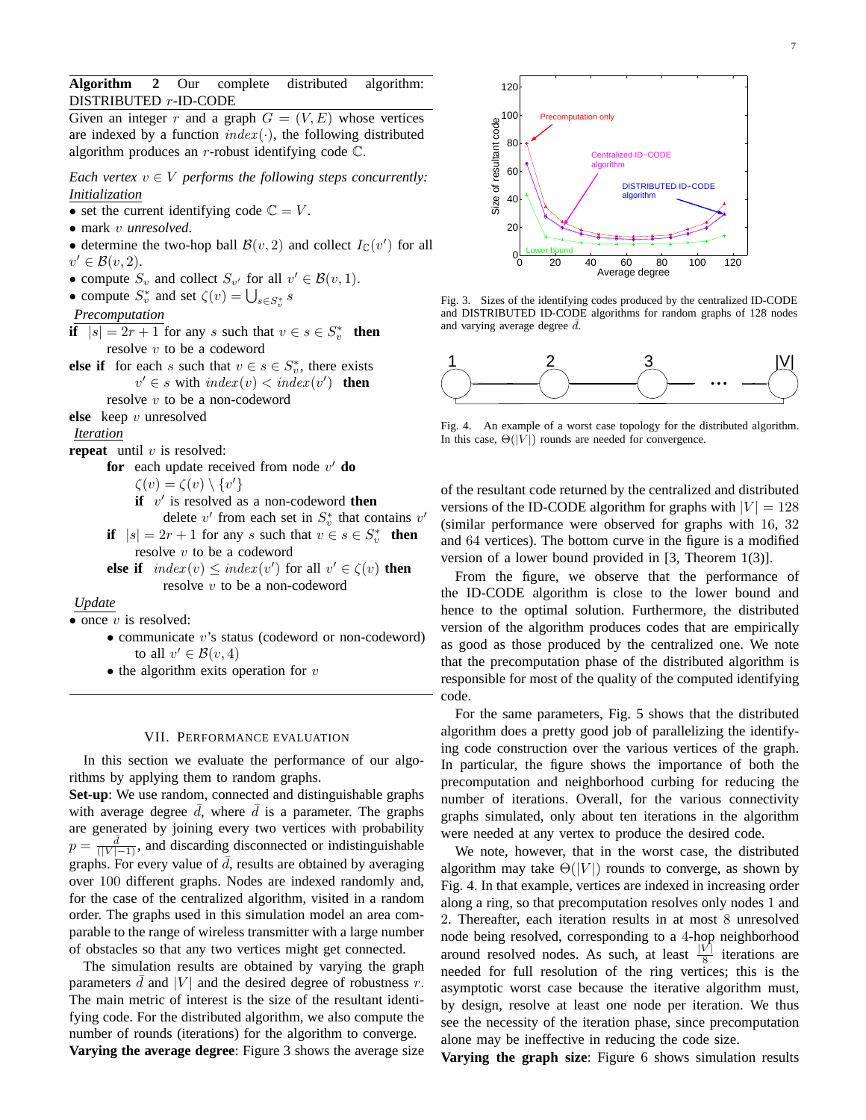Given an integer r and a graph  $G = (V, E)$  whose vertices are indexed by a function  $index(\cdot)$ , the following distributed algorithm produces an *r*-robust identifying code  $\mathbb{C}$ .

*Each vertex*  $v \in V$  *performs the following steps concurrently: Initialization*

- set the current identifying code  $\mathbb{C} = V$ .
- mark v *unresolved*.
- determine the two-hop ball  $\mathcal{B}(v, 2)$  and collect  $I_{\mathbb{C}}(v')$  for all  $v' \in \mathcal{B}(v, 2)$ .
- compute  $S_v$  and collect  $S_{v'}$  for all  $v' \in \mathcal{B}(v, 1)$ .
- compute  $S_v^*$  and set  $\zeta(v) = \bigcup_{s \in S_v^*} s$
- *Precomputation*
- **if**  $|s| = 2r + 1$  for any s such that  $v \in s \in S_v^*$  then resolve  $v$  to be a codeword
- **else if** for each s such that  $v \in s \in S_v^*$ , there exists
	- $v' \in s$  with  $index(v) < index(v')$  then
	- resolve  $v$  to be a non-codeword

**else** keep v unresolved

#### *Iteration*

**repeat** until  $v$  is resolved:

**for** each update received from node v' **do** 

 $\zeta(v) = \zeta(v) \setminus \{v'\}$ 

- **if**  $v'$  is resolved as a non-codeword **then**
- delete  $v'$  from each set in  $S_v^*$  that contains  $v'$ **if**  $|s| = 2r + 1$  for any s such that  $v \in s \in S_v^*$  then resolve  $v$  to be a codeword
- **else if**  $index(v) \leq index(v')$  for all  $v' \in \zeta(v)$  **then** resolve  $v$  to be a non-codeword

#### *Update*

- $\bullet$  once v is resolved:
	- $\bullet$  communicate  $v$ 's status (codeword or non-codeword) to all  $v' \in \mathcal{B}(v, 4)$
	- $\bullet$  the algorithm exits operation for v

## VII. PERFORMANCE EVALUATION

In this section we evaluate the performance of our algorithms by applying them to random graphs.

**Set-up**: We use random, connected and distinguishable graphs with average degree  $\overline{d}$ , where  $\overline{d}$  is a parameter. The graphs are generated by joining every two vertices with probability  $p = \frac{d}{\sqrt{|\mathcal{V}|-1}}$ , and discarding disconnected or indistinguishable graphs. For every value of  $\bar{d}$ , results are obtained by averaging over 100 different graphs. Nodes are indexed randomly and, for the case of the centralized algorithm, visited in a random order. The graphs used in this simulation model an area comparable to the range of wireless transmitter with a large number of obstacles so that any two vertices might get connected.

The simulation results are obtained by varying the graph parameters  $\bar{d}$  and |V| and the desired degree of robustness r. The main metric of interest is the size of the resultant identifying code. For the distributed algorithm, we also compute the number of rounds (iterations) for the algorithm to converge. **Varying the average degree**: Figure 3 shows the average size



Fig. 3. Sizes of the identifying codes produced by the centralized ID-CODE and DISTRIBUTED ID-CODE algorithms for random graphs of 128 nodes and varying average degree  $d$ .



Fig. 4. An example of a worst case topology for the distributed algorithm. In this case,  $\Theta(|V|)$  rounds are needed for convergence.

of the resultant code returned by the centralized and distributed versions of the ID-CODE algorithm for graphs with  $|V| = 128$ (similar performance were observed for graphs with 16, 32 and 64 vertices). The bottom curve in the figure is a modified version of a lower bound provided in [3, Theorem 1(3)].

From the figure, we observe that the performance of the ID-CODE algorithm is close to the lower bound and hence to the optimal solution. Furthermore, the distributed version of the algorithm produces codes that are empirically as good as those produced by the centralized one. We note that the precomputation phase of the distributed algorithm is responsible for most of the quality of the computed identifying code.

For the same parameters, Fig. 5 shows that the distributed algorithm does a pretty good job of parallelizing the identifying code construction over the various vertices of the graph. In particular, the figure shows the importance of both the precomputation and neighborhood curbing for reducing the number of iterations. Overall, for the various connectivity graphs simulated, only about ten iterations in the algorithm were needed at any vertex to produce the desired code.

We note, however, that in the worst case, the distributed algorithm may take  $\Theta(|V|)$  rounds to converge, as shown by Fig. 4. In that example, vertices are indexed in increasing order along a ring, so that precomputation resolves only nodes 1 and 2. Thereafter, each iteration results in at most 8 unresolved node being resolved, corresponding to a 4-hop neighborhood around resolved nodes. As such, at least  $\frac{|V|}{8}$  iterations are needed for full resolution of the ring vertices; this is the asymptotic worst case because the iterative algorithm must, by design, resolve at least one node per iteration. We thus see the necessity of the iteration phase, since precomputation alone may be ineffective in reducing the code size.

**Varying the graph size**: Figure 6 shows simulation results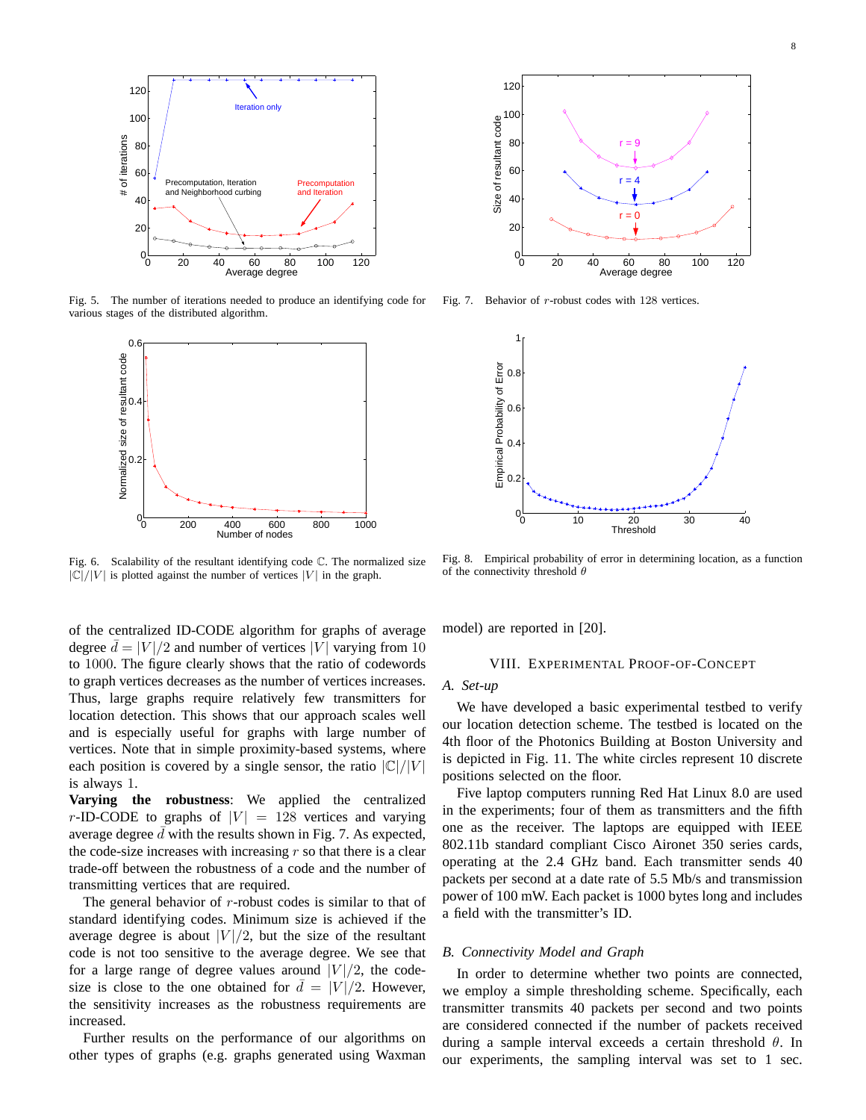

Fig. 5. The number of iterations needed to produce an identifying code for various stages of the distributed algorithm. Fig. 7. Behavior of r-robust codes with 128 vertices.



Fig. 6. Scalability of the resultant identifying code  $\mathbb{C}$ . The normalized size  $|\mathbb{C}|/|V|$  is plotted against the number of vertices  $|V|$  in the graph.

of the centralized ID-CODE algorithm for graphs of average degree  $d = |V|/2$  and number of vertices |V| varying from 10 to 1000. The figure clearly shows that the ratio of codewords to graph vertices decreases as the number of vertices increases. Thus, large graphs require relatively few transmitters for location detection. This shows that our approach scales well and is especially useful for graphs with large number of vertices. Note that in simple proximity-based systems, where each position is covered by a single sensor, the ratio  $|\mathbb{C}|/|V|$ is always 1.

**Varying the robustness**: We applied the centralized r-ID-CODE to graphs of  $|V| = 128$  vertices and varying average degree  $\bar{d}$  with the results shown in Fig. 7. As expected, the code-size increases with increasing  $r$  so that there is a clear trade-off between the robustness of a code and the number of transmitting vertices that are required.

The general behavior of  $r$ -robust codes is similar to that of standard identifying codes. Minimum size is achieved if the average degree is about  $|V|/2$ , but the size of the resultant code is not too sensitive to the average degree. We see that for a large range of degree values around  $|V|/2$ , the codesize is close to the one obtained for  $\bar{d} = |V|/2$ . However, the sensitivity increases as the robustness requirements are increased.

Further results on the performance of our algorithms on other types of graphs (e.g. graphs generated using Waxman





Fig. 8. Empirical probability of error in determining location, as a function of the connectivity threshold  $\theta$ 

model) are reported in [20].

#### VIII. EXPERIMENTAL PROOF-OF-CONCEPT

#### *A. Set-up*

We have developed a basic experimental testbed to verify our location detection scheme. The testbed is located on the 4th floor of the Photonics Building at Boston University and is depicted in Fig. 11. The white circles represent 10 discrete positions selected on the floor.

Five laptop computers running Red Hat Linux 8.0 are used in the experiments; four of them as transmitters and the fifth one as the receiver. The laptops are equipped with IEEE 802.11b standard compliant Cisco Aironet 350 series cards, operating at the 2.4 GHz band. Each transmitter sends 40 packets per second at a date rate of 5.5 Mb/s and transmission power of 100 mW. Each packet is 1000 bytes long and includes a field with the transmitter's ID.

#### *B. Connectivity Model and Graph*

In order to determine whether two points are connected, we employ a simple thresholding scheme. Specifically, each transmitter transmits 40 packets per second and two points are considered connected if the number of packets received during a sample interval exceeds a certain threshold θ. In our experiments, the sampling interval was set to 1 sec.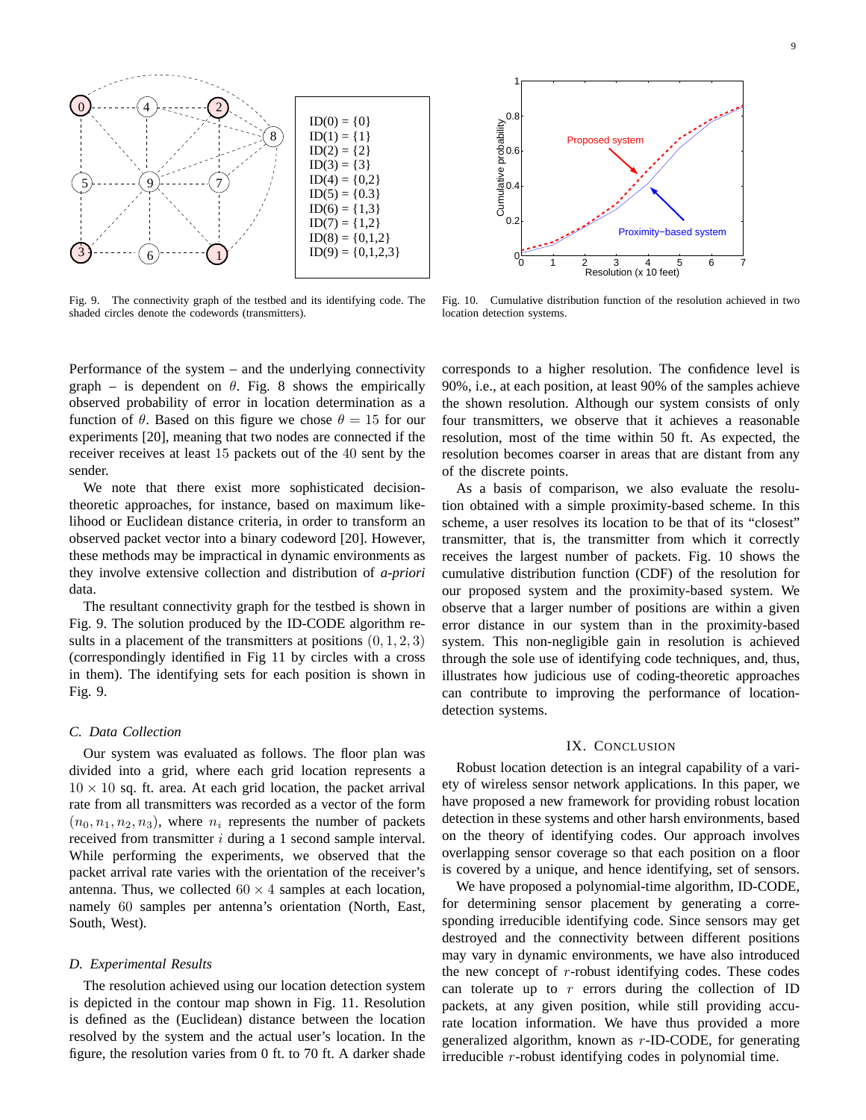

Fig. 9. The connectivity graph of the testbed and its identifying code. The shaded circles denote the codewords (transmitters).



Fig. 10. Cumulative distribution function of the resolution achieved in two location detection systems.

Performance of the system – and the underlying connectivity graph – is dependent on  $\theta$ . Fig. 8 shows the empirically observed probability of error in location determination as a function of  $\theta$ . Based on this figure we chose  $\theta = 15$  for our experiments [20], meaning that two nodes are connected if the receiver receives at least 15 packets out of the 40 sent by the sender.

We note that there exist more sophisticated decisiontheoretic approaches, for instance, based on maximum likelihood or Euclidean distance criteria, in order to transform an observed packet vector into a binary codeword [20]. However, these methods may be impractical in dynamic environments as they involve extensive collection and distribution of *a-priori* data.

The resultant connectivity graph for the testbed is shown in Fig. 9. The solution produced by the ID-CODE algorithm results in a placement of the transmitters at positions  $(0, 1, 2, 3)$ (correspondingly identified in Fig 11 by circles with a cross in them). The identifying sets for each position is shown in Fig. 9.

### *C. Data Collection*

Our system was evaluated as follows. The floor plan was divided into a grid, where each grid location represents a  $10 \times 10$  sq. ft. area. At each grid location, the packet arrival rate from all transmitters was recorded as a vector of the form  $(n_0, n_1, n_2, n_3)$ , where  $n_i$  represents the number of packets received from transmitter  $i$  during a 1 second sample interval. While performing the experiments, we observed that the packet arrival rate varies with the orientation of the receiver's antenna. Thus, we collected  $60 \times 4$  samples at each location, namely 60 samples per antenna's orientation (North, East, South, West).

#### *D. Experimental Results*

The resolution achieved using our location detection system is depicted in the contour map shown in Fig. 11. Resolution is defined as the (Euclidean) distance between the location resolved by the system and the actual user's location. In the figure, the resolution varies from 0 ft. to 70 ft. A darker shade

corresponds to a higher resolution. The confidence level is 90%, i.e., at each position, at least 90% of the samples achieve the shown resolution. Although our system consists of only four transmitters, we observe that it achieves a reasonable resolution, most of the time within 50 ft. As expected, the resolution becomes coarser in areas that are distant from any of the discrete points.

As a basis of comparison, we also evaluate the resolution obtained with a simple proximity-based scheme. In this scheme, a user resolves its location to be that of its "closest" transmitter, that is, the transmitter from which it correctly receives the largest number of packets. Fig. 10 shows the cumulative distribution function (CDF) of the resolution for our proposed system and the proximity-based system. We observe that a larger number of positions are within a given error distance in our system than in the proximity-based system. This non-negligible gain in resolution is achieved through the sole use of identifying code techniques, and, thus, illustrates how judicious use of coding-theoretic approaches can contribute to improving the performance of locationdetection systems.

### IX. CONCLUSION

Robust location detection is an integral capability of a variety of wireless sensor network applications. In this paper, we have proposed a new framework for providing robust location detection in these systems and other harsh environments, based on the theory of identifying codes. Our approach involves overlapping sensor coverage so that each position on a floor is covered by a unique, and hence identifying, set of sensors.

We have proposed a polynomial-time algorithm, ID-CODE, for determining sensor placement by generating a corresponding irreducible identifying code. Since sensors may get destroyed and the connectivity between different positions may vary in dynamic environments, we have also introduced the new concept of  $r$ -robust identifying codes. These codes can tolerate up to  $r$  errors during the collection of ID packets, at any given position, while still providing accurate location information. We have thus provided a more generalized algorithm, known as r-ID-CODE, for generating irreducible r-robust identifying codes in polynomial time.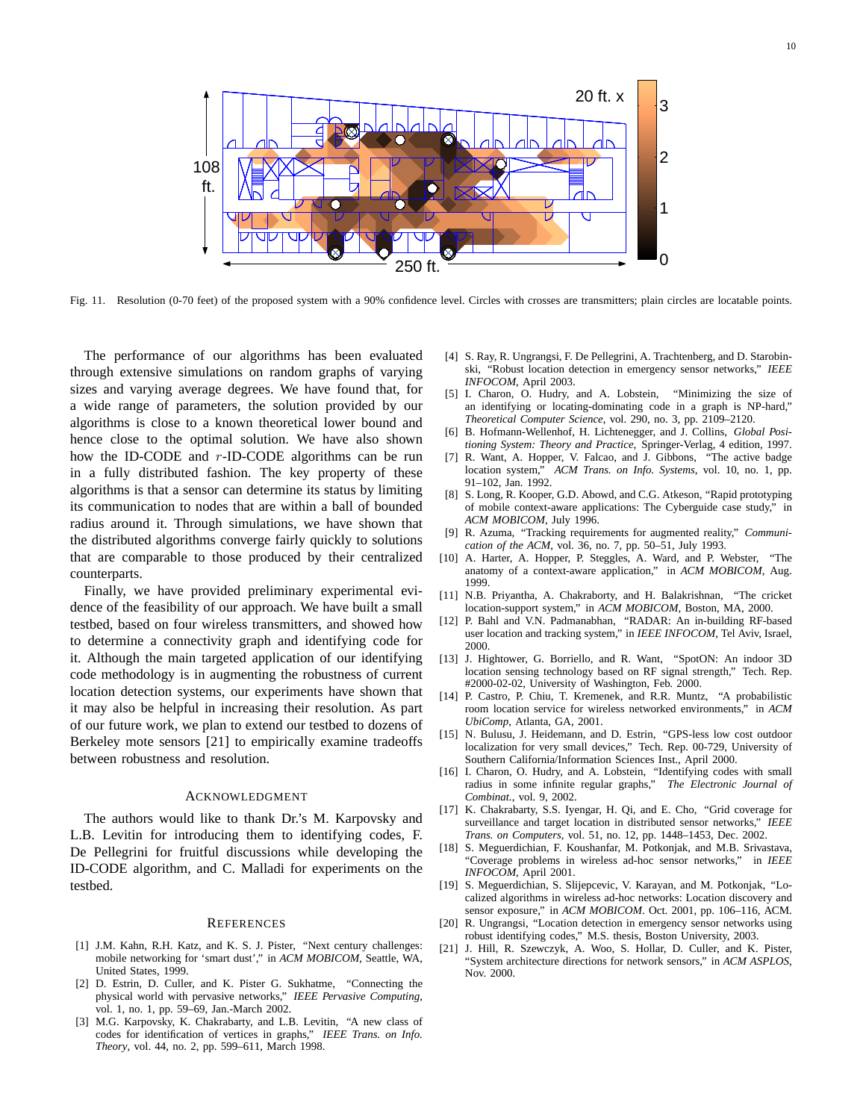

Fig. 11. Resolution (0-70 feet) of the proposed system with a 90% confidence level. Circles with crosses are transmitters; plain circles are locatable points.

The performance of our algorithms has been evaluated through extensive simulations on random graphs of varying sizes and varying average degrees. We have found that, for a wide range of parameters, the solution provided by our algorithms is close to a known theoretical lower bound and hence close to the optimal solution. We have also shown how the ID-CODE and r-ID-CODE algorithms can be run in a fully distributed fashion. The key property of these algorithms is that a sensor can determine its status by limiting its communication to nodes that are within a ball of bounded radius around it. Through simulations, we have shown that the distributed algorithms converge fairly quickly to solutions that are comparable to those produced by their centralized counterparts.

Finally, we have provided preliminary experimental evidence of the feasibility of our approach. We have built a small testbed, based on four wireless transmitters, and showed how to determine a connectivity graph and identifying code for it. Although the main targeted application of our identifying code methodology is in augmenting the robustness of current location detection systems, our experiments have shown that it may also be helpful in increasing their resolution. As part of our future work, we plan to extend our testbed to dozens of Berkeley mote sensors [21] to empirically examine tradeoffs between robustness and resolution.

#### ACKNOWLEDGMENT

The authors would like to thank Dr.'s M. Karpovsky and L.B. Levitin for introducing them to identifying codes, F. De Pellegrini for fruitful discussions while developing the ID-CODE algorithm, and C. Malladi for experiments on the testbed.

#### **REFERENCES**

- [1] J.M. Kahn, R.H. Katz, and K. S. J. Pister, "Next century challenges: mobile networking for 'smart dust'," in *ACM MOBICOM*, Seattle, WA, United States, 1999.
- [2] D. Estrin, D. Culler, and K. Pister G. Sukhatme, "Connecting the physical world with pervasive networks," *IEEE Pervasive Computing*, vol. 1, no. 1, pp. 59–69, Jan.-March 2002.
- [3] M.G. Karpovsky, K. Chakrabarty, and L.B. Levitin, "A new class of codes for identification of vertices in graphs," *IEEE Trans. on Info. Theory*, vol. 44, no. 2, pp. 599–611, March 1998.
- [4] S. Ray, R. Ungrangsi, F. De Pellegrini, A. Trachtenberg, and D. Starobinski, "Robust location detection in emergency sensor networks," *IEEE INFOCOM*, April 2003.
- [5] I. Charon, O. Hudry, and A. Lobstein, "Minimizing the size of an identifying or locating-dominating code in a graph is NP-hard," *Theoretical Computer Science*, vol. 290, no. 3, pp. 2109–2120.
- [6] B. Hofmann-Wellenhof, H. Lichtenegger, and J. Collins, *Global Positioning System: Theory and Practice*, Springer-Verlag, 4 edition, 1997.
- [7] R. Want, A. Hopper, V. Falcao, and J. Gibbons, "The active badge location system," *ACM Trans. on Info. Systems*, vol. 10, no. 1, pp. 91–102, Jan. 1992.
- [8] S. Long, R. Kooper, G.D. Abowd, and C.G. Atkeson, "Rapid prototyping of mobile context-aware applications: The Cyberguide case study," in *ACM MOBICOM*, July 1996.
- [9] R. Azuma, "Tracking requirements for augmented reality," *Communication of the ACM*, vol. 36, no. 7, pp. 50–51, July 1993.
- [10] A. Harter, A. Hopper, P. Steggles, A. Ward, and P. Webster, "The anatomy of a context-aware application," in *ACM MOBICOM*, Aug. 1999.
- [11] N.B. Priyantha, A. Chakraborty, and H. Balakrishnan, "The cricket location-support system," in *ACM MOBICOM*, Boston, MA, 2000.
- [12] P. Bahl and V.N. Padmanabhan, "RADAR: An in-building RF-based user location and tracking system," in *IEEE INFOCOM*, Tel Aviv, Israel, 2000.
- [13] J. Hightower, G. Borriello, and R. Want, "SpotON: An indoor 3D location sensing technology based on RF signal strength," Tech. Rep. #2000-02-02, University of Washington, Feb. 2000.
- [14] P. Castro, P. Chiu, T. Kremenek, and R.R. Muntz, "A probabilistic room location service for wireless networked environments," in *ACM UbiComp*, Atlanta, GA, 2001.
- [15] N. Bulusu, J. Heidemann, and D. Estrin, "GPS-less low cost outdoor localization for very small devices," Tech. Rep. 00-729, University of Southern California/Information Sciences Inst., April 2000.
- [16] I. Charon, O. Hudry, and A. Lobstein, "Identifying codes with small radius in some infinite regular graphs," *The Electronic Journal of Combinat.*, vol. 9, 2002.
- [17] K. Chakrabarty, S.S. Iyengar, H. Qi, and E. Cho, "Grid coverage for surveillance and target location in distributed sensor networks," *IEEE Trans. on Computers*, vol. 51, no. 12, pp. 1448–1453, Dec. 2002.
- [18] S. Meguerdichian, F. Koushanfar, M. Potkonjak, and M.B. Srivastava, "Coverage problems in wireless ad-hoc sensor networks," in *IEEE INFOCOM*, April 2001.
- [19] S. Meguerdichian, S. Slijepcevic, V. Karayan, and M. Potkonjak, "Localized algorithms in wireless ad-hoc networks: Location discovery and sensor exposure," in *ACM MOBICOM*. Oct. 2001, pp. 106–116, ACM.
- [20] R. Ungrangsi, "Location detection in emergency sensor networks using robust identifying codes," M.S. thesis, Boston University, 2003.
- [21] J. Hill, R. Szewczyk, A. Woo, S. Hollar, D. Culler, and K. Pister, "System architecture directions for network sensors," in *ACM ASPLOS*, Nov. 2000.